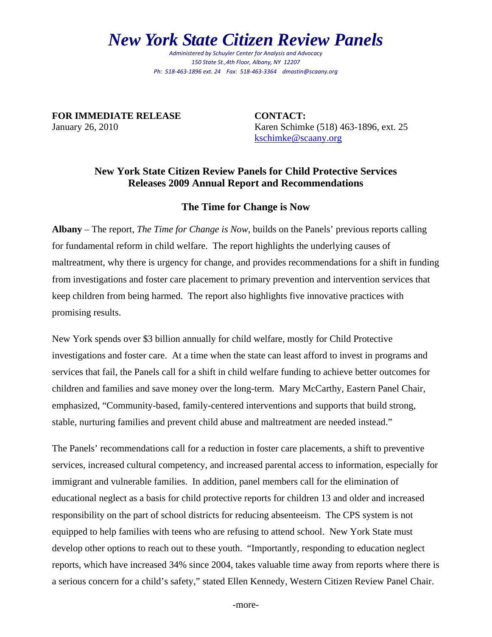## *New York State Citizen Review Panels*

*Administered by Schuyler Center for Analysis and Advocacy 150 State St.,4th Floor, Albany, NY 12207 Ph: 518‐463‐1896 ext. 24 Fax: 518‐463‐3364 dmastin@scaany.org*

**FOR IMMEDIATE RELEASE CONTACT:**

January 26, 2010 Karen Schimke (518) 463-1896, ext. 25 [kschimke@scaany.org](mailto:kschimke@scaany.org) 

## **New York State Citizen Review Panels for Child Protective Services Releases 2009 Annual Report and Recommendations**

## **The Time for Change is Now**

**Albany** – The report, *The Time for Change is Now*, builds on the Panels' previous reports calling for fundamental reform in child welfare. The report highlights the underlying causes of maltreatment, why there is urgency for change, and provides recommendations for a shift in funding from investigations and foster care placement to primary prevention and intervention services that keep children from being harmed. The report also highlights five innovative practices with promising results.

New York spends over \$3 billion annually for child welfare, mostly for Child Protective investigations and foster care. At a time when the state can least afford to invest in programs and services that fail, the Panels call for a shift in child welfare funding to achieve better outcomes for children and families and save money over the long-term. Mary McCarthy, Eastern Panel Chair, emphasized, "Community-based, family-centered interventions and supports that build strong, stable, nurturing families and prevent child abuse and maltreatment are needed instead."

The Panels' recommendations call for a reduction in foster care placements, a shift to preventive services, increased cultural competency, and increased parental access to information, especially for immigrant and vulnerable families. In addition, panel members call for the elimination of educational neglect as a basis for child protective reports for children 13 and older and increased responsibility on the part of school districts for reducing absenteeism. The CPS system is not equipped to help families with teens who are refusing to attend school. New York State must develop other options to reach out to these youth. "Importantly, responding to education neglect reports, which have increased 34% since 2004, takes valuable time away from reports where there is a serious concern for a child's safety," stated Ellen Kennedy, Western Citizen Review Panel Chair.